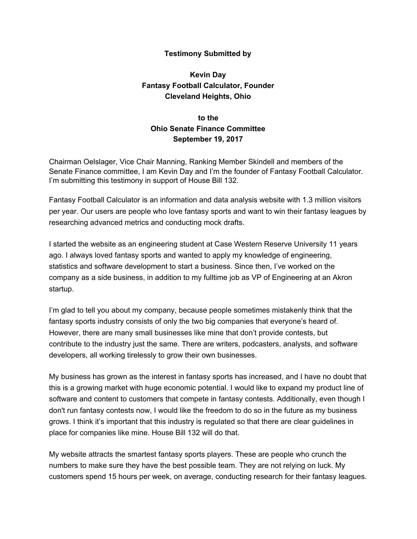## **Testimony Submitted by**

## **Kevin Day Fantasy Football Calculator, Founder Cleveland Heights, Ohio**

## **to the Ohio Senate Finance Committee September 19, 2017**

Chairman Oelslager, Vice Chair Manning, Ranking Member Skindell and members of the Senate Finance committee, I am Kevin Day and I'm the founder of Fantasy Football Calculator. I'm submitting this testimony in support of House Bill 132.

Fantasy Football Calculator is an information and data analysis website with 1.3 million visitors per year. Our users are people who love fantasy sports and want to win their fantasy leagues by researching advanced metrics and conducting mock drafts.

I started the website as an engineering student at Case Western Reserve University 11 years ago. I always loved fantasy sports and wanted to apply my knowledge of engineering, statistics and software development to start a business. Since then, I've worked on the company as a side business, in addition to my fulltime job as VP of Engineering at an Akron startup.

I'm glad to tell you about my company, because people sometimes mistakenly think that the fantasy sports industry consists of only the two big companies that everyone's heard of. However, there are many small businesses like mine that don't provide contests, but contribute to the industry just the same. There are writers, podcasters, analysts, and software developers, all working tirelessly to grow their own businesses.

My business has grown as the interest in fantasy sports has increased, and I have no doubt that this is a growing market with huge economic potential. I would like to expand my product line of software and content to customers that compete in fantasy contests. Additionally, even though I don't run fantasy contests now, I would like the freedom to do so in the future as my business grows. I think it's important that this industry is regulated so that there are clear guidelines in place for companies like mine. House Bill 132 will do that.

My website attracts the smartest fantasy sports players. These are people who crunch the numbers to make sure they have the best possible team. They are not relying on luck. My customers spend 15 hours per week, on average, conducting research for their fantasy leagues.